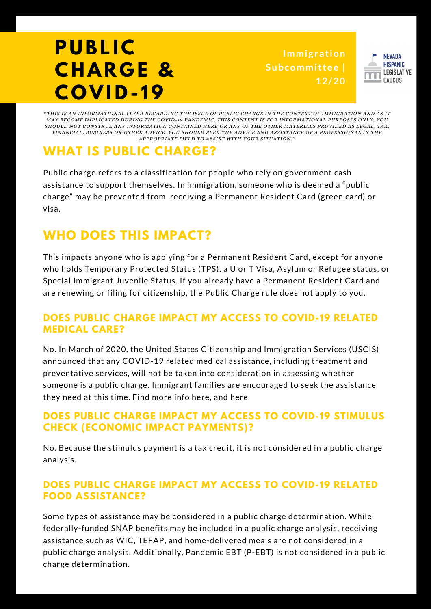# **P U BL I C C H A R G E & C O V I D - 19**

**Immigration Subcommittee | 12/20**



\*THIS IS AN INFORMATIONAL FLYER REGARDING THE ISSUE OF PUBLIC CHARGE IN THE CONTEXT OF IMMIGRATION AND AS IT MAY BECOME IMPLICATED DURING THE COVID-19 PANDEMIC. THIS CONTENT IS FOR INFORMATIONAL PURPOSES ONLY, YOU SHOULD NOT CONSTRUE ANY INFORMATION CONTAINED HERE OR ANY OF THE OTHER MATERIALS PROVIDED AS LEGAL, TAX, FINANCIAL, BUSINESS OR OTHER ADVICE. YOU SHOULD SEEK THE ADVICE AND ASSISTANCE OF A PROFESSIONAL IN THE APPROPRIATE FIELD TO ASSIST WITH YOUR SITUATION.\*

### **WHAT IS PUBLIC CHARGE?**

Public charge refers to a classification for people who rely on government cash assistance to support themselves. In immigration, someone who is deemed a "public charge" may be prevented from receiving a Permanent Resident Card (green card) or visa.

### **WHO DOES THIS IMPACT?**

This impacts anyone who is applying for a Permanent Resident Card, except for anyone who holds Temporary Protected Status (TPS), a U or T Visa, Asylum or Refugee status, or Special Immigrant Juvenile Status. If you already have a Permanent Resident Card and are renewing or filing for citizenship, the Public Charge rule does not apply to you.

### **DOES PUBLIC CHARGE IMPACT MY ACCESS TO COVID-19 RELATED MEDICAL CARE?**

No. In March of 2020, the United States Citizenship and Immigration Services (USCIS) announced that any COVID-19 related medical assistance, including treatment and preventative services, will not be taken into consideration in assessing whether someone is a public charge. Immigrant families are encouraged to seek the assistance they need at this time. Find more info here, and here

### **DOES PUBLIC CHARGE IMPACT MY ACCESS TO COVID-19 STIMULUS CHECK (ECONOMIC IMPACT PAYMENTS)?**

No. Because the stimulus payment is a tax credit, it is not considered in a public charge analysis.

### **DOES PUBLIC CHARGE IMPACT MY ACCESS TO COVID-19 RELATED FOOD ASSISTANCE?**

Some types of assistance may be considered in a public charge determination. While federally-funded SNAP benefits may be included in a public charge analysis, receiving assistance such as WIC, TEFAP, and home-delivered meals are not considered in a public charge analysis. Additionally, Pandemic EBT (P-EBT) is not considered in a public charge determination.